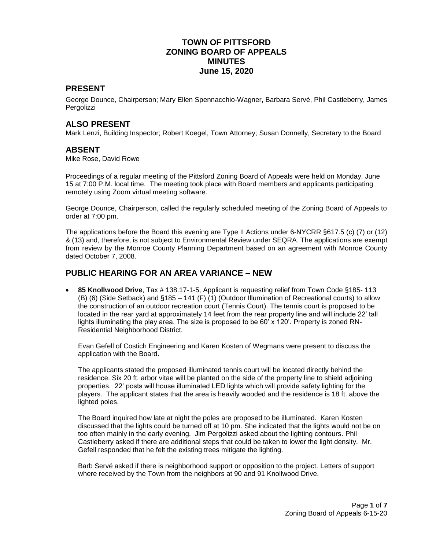# **TOWN OF PITTSFORD ZONING BOARD OF APPEALS MINUTES June 15, 2020**

### **PRESENT**

George Dounce, Chairperson; Mary Ellen Spennacchio-Wagner, Barbara Servé, Phil Castleberry, James Pergolizzi

#### **ALSO PRESENT**

Mark Lenzi, Building Inspector; Robert Koegel, Town Attorney; Susan Donnelly, Secretary to the Board

#### **ABSENT**

Mike Rose, David Rowe

Proceedings of a regular meeting of the Pittsford Zoning Board of Appeals were held on Monday, June 15 at 7:00 P.M. local time. The meeting took place with Board members and applicants participating remotely using Zoom virtual meeting software.

George Dounce, Chairperson, called the regularly scheduled meeting of the Zoning Board of Appeals to order at 7:00 pm.

The applications before the Board this evening are Type II Actions under 6-NYCRR §617.5 (c) (7) or (12) & (13) and, therefore, is not subject to Environmental Review under SEQRA. The applications are exempt from review by the Monroe County Planning Department based on an agreement with Monroe County dated October 7, 2008.

#### **PUBLIC HEARING FOR AN AREA VARIANCE – NEW**

 **85 Knollwood Drive**, Tax # 138.17-1-5, Applicant is requesting relief from Town Code §185- 113 (B) (6) (Side Setback) and §185 – 141 (F) (1) (Outdoor Illumination of Recreational courts) to allow the construction of an outdoor recreation court (Tennis Court). The tennis court is proposed to be located in the rear yard at approximately 14 feet from the rear property line and will include 22' tall lights illuminating the play area. The size is proposed to be 60' x 120'. Property is zoned RN-Residential Neighborhood District.

Evan Gefell of Costich Engineering and Karen Kosten of Wegmans were present to discuss the application with the Board.

The applicants stated the proposed illuminated tennis court will be located directly behind the residence. Six 20 ft. arbor vitae will be planted on the side of the property line to shield adjoining properties. 22' posts will house illuminated LED lights which will provide safety lighting for the players. The applicant states that the area is heavily wooded and the residence is 18 ft. above the lighted poles.

The Board inquired how late at night the poles are proposed to be illuminated. Karen Kosten discussed that the lights could be turned off at 10 pm. She indicated that the lights would not be on too often mainly in the early evening. Jim Pergolizzi asked about the lighting contours. Phil Castleberry asked if there are additional steps that could be taken to lower the light density. Mr. Gefell responded that he felt the existing trees mitigate the lighting.

Barb Servé asked if there is neighborhood support or opposition to the project. Letters of support where received by the Town from the neighbors at 90 and 91 Knollwood Drive.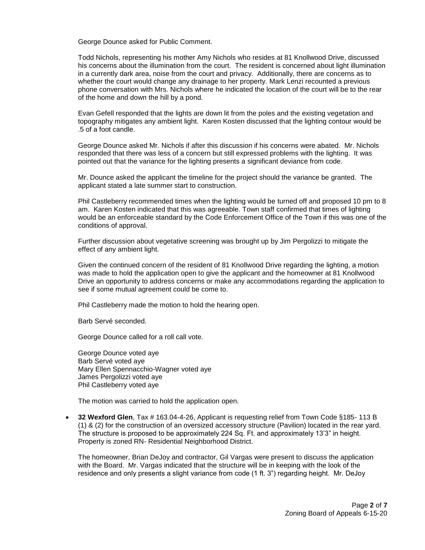George Dounce asked for Public Comment.

Todd Nichols, representing his mother Amy Nichols who resides at 81 Knollwood Drive, discussed his concerns about the illumination from the court. The resident is concerned about light illumination in a currently dark area, noise from the court and privacy. Additionally, there are concerns as to whether the court would change any drainage to her property. Mark Lenzi recounted a previous phone conversation with Mrs. Nichols where he indicated the location of the court will be to the rear of the home and down the hill by a pond.

Evan Gefell responded that the lights are down lit from the poles and the existing vegetation and topography mitigates any ambient light. Karen Kosten discussed that the lighting contour would be .5 of a foot candle.

George Dounce asked Mr. Nichols if after this discussion if his concerns were abated. Mr. Nichols responded that there was less of a concern but still expressed problems with the lighting. It was pointed out that the variance for the lighting presents a significant deviance from code.

Mr. Dounce asked the applicant the timeline for the project should the variance be granted. The applicant stated a late summer start to construction.

Phil Castleberry recommended times when the lighting would be turned off and proposed 10 pm to 8 am. Karen Kosten indicated that this was agreeable. Town staff confirmed that times of lighting would be an enforceable standard by the Code Enforcement Office of the Town if this was one of the conditions of approval.

Further discussion about vegetative screening was brought up by Jim Pergolizzi to mitigate the effect of any ambient light.

Given the continued concern of the resident of 81 Knollwood Drive regarding the lighting, a motion was made to hold the application open to give the applicant and the homeowner at 81 Knollwood Drive an opportunity to address concerns or make any accommodations regarding the application to see if some mutual agreement could be come to.

Phil Castleberry made the motion to hold the hearing open.

Barb Servé seconded.

George Dounce called for a roll call vote.

George Dounce voted aye Barb Servé voted aye Mary Ellen Spennacchio-Wagner voted aye James Pergolizzi voted aye Phil Castleberry voted aye

The motion was carried to hold the application open.

 **32 Wexford Glen**, Tax # 163.04-4-26, Applicant is requesting relief from Town Code §185- 113 B (1) & (2) for the construction of an oversized accessory structure (Pavilion) located in the rear yard. The structure is proposed to be approximately 224 Sq. Ft. and approximately 13'3" in height. Property is zoned RN- Residential Neighborhood District.

The homeowner, Brian DeJoy and contractor, Gil Vargas were present to discuss the application with the Board. Mr. Vargas indicated that the structure will be in keeping with the look of the residence and only presents a slight variance from code (1 ft. 3") regarding height. Mr. DeJoy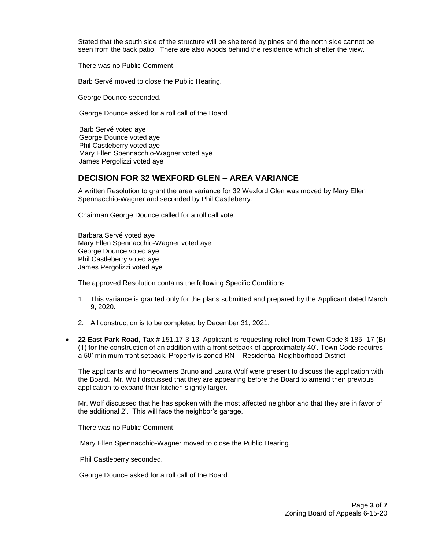Stated that the south side of the structure will be sheltered by pines and the north side cannot be seen from the back patio. There are also woods behind the residence which shelter the view.

There was no Public Comment.

Barb Servé moved to close the Public Hearing.

George Dounce seconded.

George Dounce asked for a roll call of the Board.

 Barb Servé voted aye George Dounce voted aye Phil Castleberry voted aye Mary Ellen Spennacchio-Wagner voted aye James Pergolizzi voted aye

#### **DECISION FOR 32 WEXFORD GLEN – AREA VARIANCE**

A written Resolution to grant the area variance for 32 Wexford Glen was moved by Mary Ellen Spennacchio-Wagner and seconded by Phil Castleberry.

Chairman George Dounce called for a roll call vote.

Barbara Servé voted aye Mary Ellen Spennacchio-Wagner voted aye George Dounce voted aye Phil Castleberry voted aye James Pergolizzi voted aye

The approved Resolution contains the following Specific Conditions:

- 1. This variance is granted only for the plans submitted and prepared by the Applicant dated March 9, 2020.
- 2. All construction is to be completed by December 31, 2021.
- **22 East Park Road**, Tax # 151.17-3-13, Applicant is requesting relief from Town Code § 185 -17 (B) (1) for the construction of an addition with a front setback of approximately 40'. Town Code requires a 50' minimum front setback. Property is zoned RN – Residential Neighborhood District

The applicants and homeowners Bruno and Laura Wolf were present to discuss the application with the Board. Mr. Wolf discussed that they are appearing before the Board to amend their previous application to expand their kitchen slightly larger.

Mr. Wolf discussed that he has spoken with the most affected neighbor and that they are in favor of the additional 2'. This will face the neighbor's garage.

There was no Public Comment.

Mary Ellen Spennacchio-Wagner moved to close the Public Hearing.

Phil Castleberry seconded.

George Dounce asked for a roll call of the Board.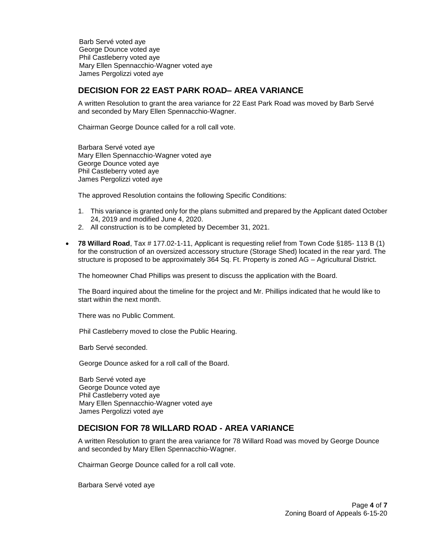Barb Servé voted aye George Dounce voted aye Phil Castleberry voted aye Mary Ellen Spennacchio-Wagner voted aye James Pergolizzi voted aye

#### **DECISION FOR 22 EAST PARK ROAD– AREA VARIANCE**

A written Resolution to grant the area variance for 22 East Park Road was moved by Barb Servé and seconded by Mary Ellen Spennacchio-Wagner.

Chairman George Dounce called for a roll call vote.

Barbara Servé voted aye Mary Ellen Spennacchio-Wagner voted aye George Dounce voted aye Phil Castleberry voted aye James Pergolizzi voted aye

The approved Resolution contains the following Specific Conditions:

- 1. This variance is granted only for the plans submitted and prepared by the Applicant dated October 24, 2019 and modified June 4, 2020.
- 2. All construction is to be completed by December 31, 2021.
- **78 Willard Road**, Tax # 177.02-1-11, Applicant is requesting relief from Town Code §185- 113 B (1) for the construction of an oversized accessory structure (Storage Shed) located in the rear yard. The structure is proposed to be approximately 364 Sq. Ft. Property is zoned AG – Agricultural District.

The homeowner Chad Phillips was present to discuss the application with the Board.

The Board inquired about the timeline for the project and Mr. Phillips indicated that he would like to start within the next month.

There was no Public Comment.

Phil Castleberry moved to close the Public Hearing.

Barb Servé seconded.

George Dounce asked for a roll call of the Board.

 Barb Servé voted aye George Dounce voted aye Phil Castleberry voted aye Mary Ellen Spennacchio-Wagner voted aye James Pergolizzi voted aye

# **DECISION FOR 78 WILLARD ROAD - AREA VARIANCE**

A written Resolution to grant the area variance for 78 Willard Road was moved by George Dounce and seconded by Mary Ellen Spennacchio-Wagner.

Chairman George Dounce called for a roll call vote.

Barbara Servé voted aye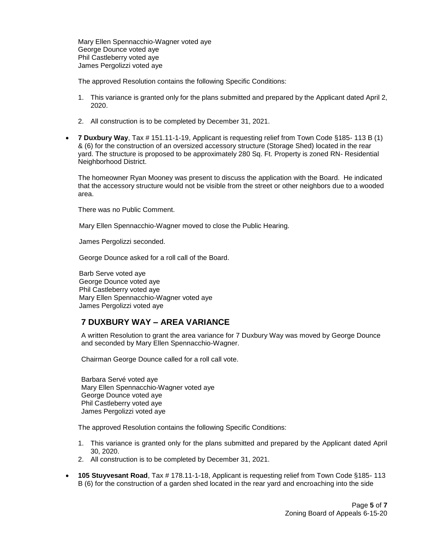Mary Ellen Spennacchio-Wagner voted aye George Dounce voted aye Phil Castleberry voted aye James Pergolizzi voted aye

The approved Resolution contains the following Specific Conditions:

- 1. This variance is granted only for the plans submitted and prepared by the Applicant dated April 2, 2020.
- 2. All construction is to be completed by December 31, 2021.
- **7 Duxbury Way**, Tax # 151.11-1-19, Applicant is requesting relief from Town Code §185- 113 B (1) & (6) for the construction of an oversized accessory structure (Storage Shed) located in the rear yard. The structure is proposed to be approximately 280 Sq. Ft. Property is zoned RN- Residential Neighborhood District.

The homeowner Ryan Mooney was present to discuss the application with the Board. He indicated that the accessory structure would not be visible from the street or other neighbors due to a wooded area.

There was no Public Comment.

Mary Ellen Spennacchio-Wagner moved to close the Public Hearing.

James Pergolizzi seconded.

George Dounce asked for a roll call of the Board.

 Barb Serve voted aye George Dounce voted aye Phil Castleberry voted aye Mary Ellen Spennacchio-Wagner voted aye James Pergolizzi voted aye

# **7 DUXBURY WAY – AREA VARIANCE**

A written Resolution to grant the area variance for 7 Duxbury Way was moved by George Dounce and seconded by Mary Ellen Spennacchio-Wagner.

Chairman George Dounce called for a roll call vote.

Barbara Servé voted aye Mary Ellen Spennacchio-Wagner voted aye George Dounce voted aye Phil Castleberry voted aye James Pergolizzi voted aye

The approved Resolution contains the following Specific Conditions:

- 1. This variance is granted only for the plans submitted and prepared by the Applicant dated April 30, 2020.
- 2. All construction is to be completed by December 31, 2021.
- **105 Stuyvesant Road**, Tax # 178.11-1-18, Applicant is requesting relief from Town Code §185- 113 B (6) for the construction of a garden shed located in the rear yard and encroaching into the side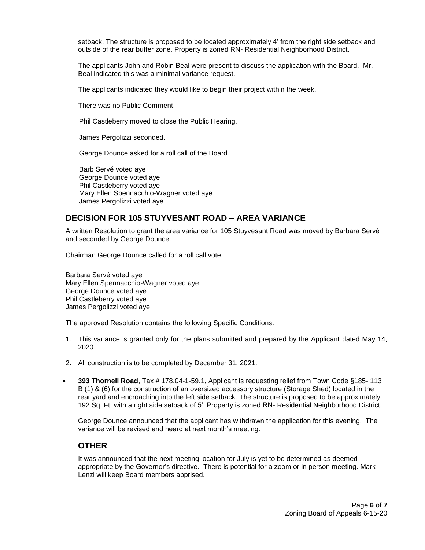setback. The structure is proposed to be located approximately 4' from the right side setback and outside of the rear buffer zone. Property is zoned RN- Residential Neighborhood District.

The applicants John and Robin Beal were present to discuss the application with the Board. Mr. Beal indicated this was a minimal variance request.

The applicants indicated they would like to begin their project within the week.

There was no Public Comment.

Phil Castleberry moved to close the Public Hearing.

James Pergolizzi seconded.

George Dounce asked for a roll call of the Board.

 Barb Servé voted aye George Dounce voted aye Phil Castleberry voted aye Mary Ellen Spennacchio-Wagner voted aye James Pergolizzi voted aye

# **DECISION FOR 105 STUYVESANT ROAD – AREA VARIANCE**

A written Resolution to grant the area variance for 105 Stuyvesant Road was moved by Barbara Servé and seconded by George Dounce.

Chairman George Dounce called for a roll call vote.

Barbara Servé voted aye Mary Ellen Spennacchio-Wagner voted aye George Dounce voted aye Phil Castleberry voted aye James Pergolizzi voted aye

The approved Resolution contains the following Specific Conditions:

- 1. This variance is granted only for the plans submitted and prepared by the Applicant dated May 14, 2020.
- 2. All construction is to be completed by December 31, 2021.
- **393 Thornell Road**, Tax # 178.04-1-59.1, Applicant is requesting relief from Town Code §185- 113 B (1) & (6) for the construction of an oversized accessory structure (Storage Shed) located in the rear yard and encroaching into the left side setback. The structure is proposed to be approximately 192 Sq. Ft. with a right side setback of 5'. Property is zoned RN- Residential Neighborhood District.

George Dounce announced that the applicant has withdrawn the application for this evening. The variance will be revised and heard at next month's meeting.

# **OTHER**

It was announced that the next meeting location for July is yet to be determined as deemed appropriate by the Governor's directive. There is potential for a zoom or in person meeting. Mark Lenzi will keep Board members apprised.